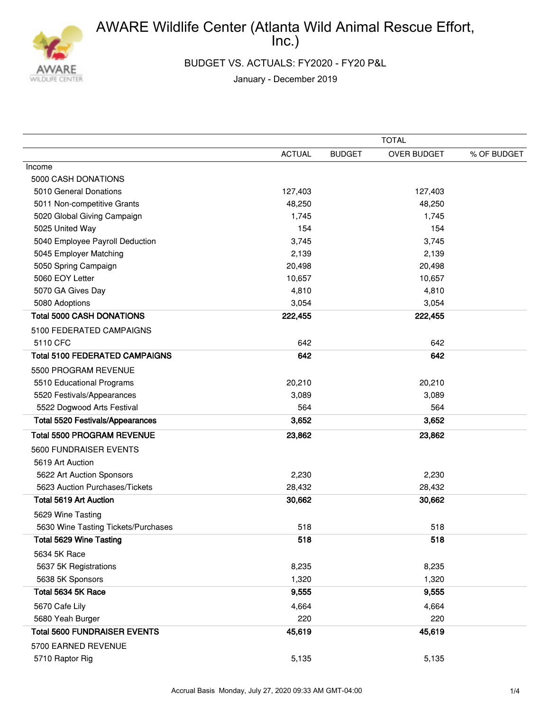

BUDGET VS. ACTUALS: FY2020 - FY20 P&L

January - December 2019

|                                         | <b>TOTAL</b>  |               |             |             |
|-----------------------------------------|---------------|---------------|-------------|-------------|
|                                         | <b>ACTUAL</b> | <b>BUDGET</b> | OVER BUDGET | % OF BUDGET |
| Income                                  |               |               |             |             |
| 5000 CASH DONATIONS                     |               |               |             |             |
| 5010 General Donations                  | 127,403       |               | 127,403     |             |
| 5011 Non-competitive Grants             | 48,250        |               | 48,250      |             |
| 5020 Global Giving Campaign             | 1,745         |               | 1,745       |             |
| 5025 United Way                         | 154           |               | 154         |             |
| 5040 Employee Payroll Deduction         | 3,745         |               | 3,745       |             |
| 5045 Employer Matching                  | 2,139         |               | 2,139       |             |
| 5050 Spring Campaign                    | 20,498        |               | 20,498      |             |
| 5060 EOY Letter                         | 10,657        |               | 10,657      |             |
| 5070 GA Gives Day                       | 4,810         |               | 4,810       |             |
| 5080 Adoptions                          | 3,054         |               | 3,054       |             |
| <b>Total 5000 CASH DONATIONS</b>        | 222,455       |               | 222,455     |             |
| 5100 FEDERATED CAMPAIGNS                |               |               |             |             |
| 5110 CFC                                | 642           |               | 642         |             |
| <b>Total 5100 FEDERATED CAMPAIGNS</b>   | 642           |               | 642         |             |
| 5500 PROGRAM REVENUE                    |               |               |             |             |
| 5510 Educational Programs               | 20,210        |               | 20,210      |             |
| 5520 Festivals/Appearances              | 3,089         |               | 3,089       |             |
| 5522 Dogwood Arts Festival              | 564           |               | 564         |             |
| <b>Total 5520 Festivals/Appearances</b> | 3,652         |               | 3,652       |             |
| <b>Total 5500 PROGRAM REVENUE</b>       | 23,862        |               | 23,862      |             |
| 5600 FUNDRAISER EVENTS                  |               |               |             |             |
| 5619 Art Auction                        |               |               |             |             |
| 5622 Art Auction Sponsors               | 2,230         |               | 2,230       |             |
| 5623 Auction Purchases/Tickets          | 28,432        |               | 28,432      |             |
| <b>Total 5619 Art Auction</b>           | 30,662        |               | 30,662      |             |
| 5629 Wine Tasting                       |               |               |             |             |
| 5630 Wine Tasting Tickets/Purchases     | 518           |               | 518         |             |
| <b>Total 5629 Wine Tasting</b>          | 518           |               | 518         |             |
| 5634 5K Race                            |               |               |             |             |
| 5637 5K Registrations                   | 8,235         |               | 8,235       |             |
| 5638 5K Sponsors                        | 1,320         |               | 1,320       |             |
| Total 5634 5K Race                      | 9,555         |               | 9,555       |             |
| 5670 Cafe Lily                          | 4,664         |               | 4,664       |             |
| 5680 Yeah Burger                        | 220           |               | 220         |             |
| <b>Total 5600 FUNDRAISER EVENTS</b>     | 45,619        |               | 45,619      |             |
| 5700 EARNED REVENUE                     |               |               |             |             |
| 5710 Raptor Rig                         | 5,135         |               | 5,135       |             |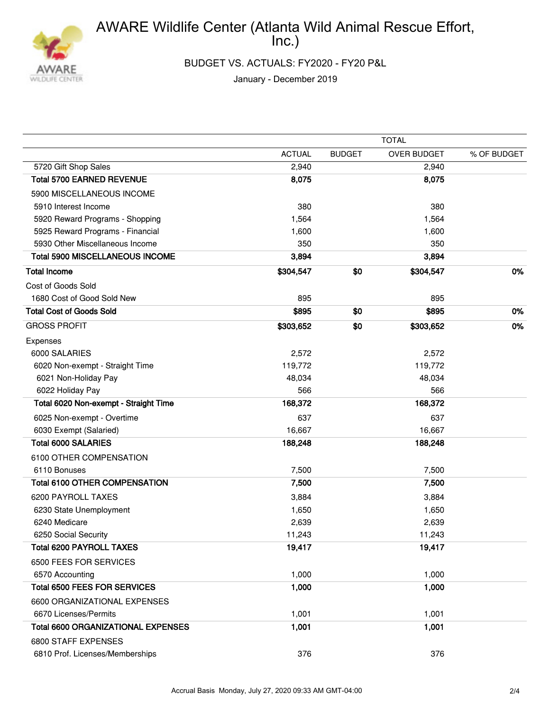

BUDGET VS. ACTUALS: FY2020 - FY20 P&L

January - December 2019

|                                           | <b>TOTAL</b>  |               |             |             |
|-------------------------------------------|---------------|---------------|-------------|-------------|
|                                           | <b>ACTUAL</b> | <b>BUDGET</b> | OVER BUDGET | % OF BUDGET |
| 5720 Gift Shop Sales                      | 2,940         |               | 2,940       |             |
| <b>Total 5700 EARNED REVENUE</b>          | 8,075         |               | 8,075       |             |
| 5900 MISCELLANEOUS INCOME                 |               |               |             |             |
| 5910 Interest Income                      | 380           |               | 380         |             |
| 5920 Reward Programs - Shopping           | 1,564         |               | 1,564       |             |
| 5925 Reward Programs - Financial          | 1,600         |               | 1,600       |             |
| 5930 Other Miscellaneous Income           | 350           |               | 350         |             |
| <b>Total 5900 MISCELLANEOUS INCOME</b>    | 3,894         |               | 3,894       |             |
| <b>Total Income</b>                       | \$304,547     | \$0           | \$304,547   | 0%          |
| Cost of Goods Sold                        |               |               |             |             |
| 1680 Cost of Good Sold New                | 895           |               | 895         |             |
| <b>Total Cost of Goods Sold</b>           | \$895         | \$0           | \$895       | 0%          |
| <b>GROSS PROFIT</b>                       | \$303,652     | \$0           | \$303,652   | 0%          |
| Expenses                                  |               |               |             |             |
| 6000 SALARIES                             | 2,572         |               | 2,572       |             |
| 6020 Non-exempt - Straight Time           | 119,772       |               | 119,772     |             |
| 6021 Non-Holiday Pay                      | 48,034        |               | 48,034      |             |
| 6022 Holiday Pay                          | 566           |               | 566         |             |
| Total 6020 Non-exempt - Straight Time     | 168,372       |               | 168,372     |             |
| 6025 Non-exempt - Overtime                | 637           |               | 637         |             |
| 6030 Exempt (Salaried)                    | 16,667        |               | 16,667      |             |
| <b>Total 6000 SALARIES</b>                | 188,248       |               | 188,248     |             |
| 6100 OTHER COMPENSATION                   |               |               |             |             |
| 6110 Bonuses                              | 7,500         |               | 7,500       |             |
| <b>Total 6100 OTHER COMPENSATION</b>      | 7,500         |               | 7,500       |             |
| 6200 PAYROLL TAXES                        | 3,884         |               | 3,884       |             |
| 6230 State Unemployment                   | 1,650         |               | 1,650       |             |
| 6240 Medicare                             | 2,639         |               | 2,639       |             |
| 6250 Social Security                      | 11,243        |               | 11,243      |             |
| <b>Total 6200 PAYROLL TAXES</b>           | 19,417        |               | 19,417      |             |
| 6500 FEES FOR SERVICES                    |               |               |             |             |
| 6570 Accounting                           | 1,000         |               | 1,000       |             |
| <b>Total 6500 FEES FOR SERVICES</b>       | 1,000         |               | 1,000       |             |
| 6600 ORGANIZATIONAL EXPENSES              |               |               |             |             |
| 6670 Licenses/Permits                     | 1,001         |               | 1,001       |             |
| <b>Total 6600 ORGANIZATIONAL EXPENSES</b> | 1,001         |               | 1,001       |             |
| 6800 STAFF EXPENSES                       |               |               |             |             |
| 6810 Prof. Licenses/Memberships           | 376           |               | 376         |             |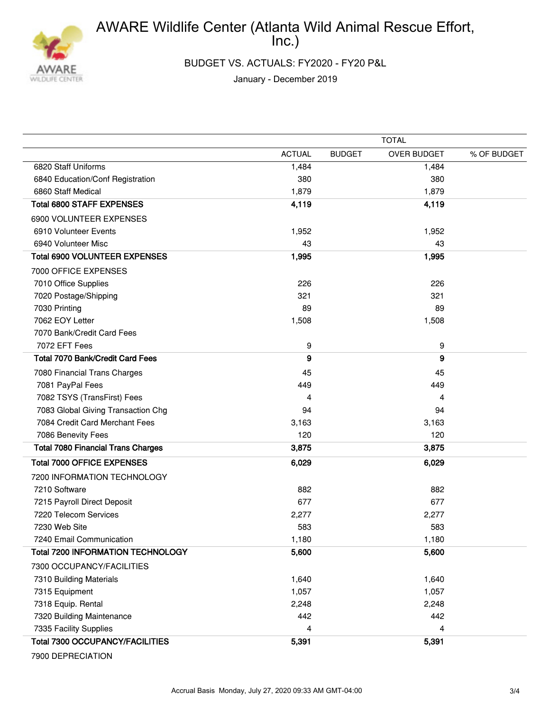

BUDGET VS. ACTUALS: FY2020 - FY20 P&L

January - December 2019

|                                           | <b>TOTAL</b>  |               |             |             |
|-------------------------------------------|---------------|---------------|-------------|-------------|
|                                           | <b>ACTUAL</b> | <b>BUDGET</b> | OVER BUDGET | % OF BUDGET |
| 6820 Staff Uniforms                       | 1,484         |               | 1,484       |             |
| 6840 Education/Conf Registration          | 380           |               | 380         |             |
| 6860 Staff Medical                        | 1,879         |               | 1,879       |             |
| <b>Total 6800 STAFF EXPENSES</b>          | 4,119         |               | 4,119       |             |
| 6900 VOLUNTEER EXPENSES                   |               |               |             |             |
| 6910 Volunteer Events                     | 1,952         |               | 1,952       |             |
| 6940 Volunteer Misc                       | 43            |               | 43          |             |
| <b>Total 6900 VOLUNTEER EXPENSES</b>      | 1,995         |               | 1,995       |             |
| 7000 OFFICE EXPENSES                      |               |               |             |             |
| 7010 Office Supplies                      | 226           |               | 226         |             |
| 7020 Postage/Shipping                     | 321           |               | 321         |             |
| 7030 Printing                             | 89            |               | 89          |             |
| 7062 EOY Letter                           | 1,508         |               | 1,508       |             |
| 7070 Bank/Credit Card Fees                |               |               |             |             |
| 7072 EFT Fees                             | 9             |               | 9           |             |
| Total 7070 Bank/Credit Card Fees          | 9             |               | 9           |             |
| 7080 Financial Trans Charges              | 45            |               | 45          |             |
| 7081 PayPal Fees                          | 449           |               | 449         |             |
| 7082 TSYS (TransFirst) Fees               | 4             |               | 4           |             |
| 7083 Global Giving Transaction Chg        | 94            |               | 94          |             |
| 7084 Credit Card Merchant Fees            | 3,163         |               | 3,163       |             |
| 7086 Benevity Fees                        | 120           |               | 120         |             |
| <b>Total 7080 Financial Trans Charges</b> | 3,875         |               | 3,875       |             |
| <b>Total 7000 OFFICE EXPENSES</b>         | 6,029         |               | 6,029       |             |
| 7200 INFORMATION TECHNOLOGY               |               |               |             |             |
| 7210 Software                             | 882           |               | 882         |             |
| 7215 Payroll Direct Deposit               | 677           |               | 677         |             |
| 7220 Telecom Services                     | 2,277         |               | 2,277       |             |
| 7230 Web Site                             | 583           |               | 583         |             |
| 7240 Email Communication                  | 1,180         |               | 1,180       |             |
| <b>Total 7200 INFORMATION TECHNOLOGY</b>  | 5,600         |               | 5,600       |             |
| 7300 OCCUPANCY/FACILITIES                 |               |               |             |             |
| 7310 Building Materials                   | 1,640         |               | 1,640       |             |
| 7315 Equipment                            | 1,057         |               | 1,057       |             |
| 7318 Equip. Rental                        | 2,248         |               | 2,248       |             |
| 7320 Building Maintenance                 | 442           |               | 442         |             |
| 7335 Facility Supplies                    | 4             |               | 4           |             |
| <b>Total 7300 OCCUPANCY/FACILITIES</b>    | 5,391         |               | 5,391       |             |

7900 DEPRECIATION